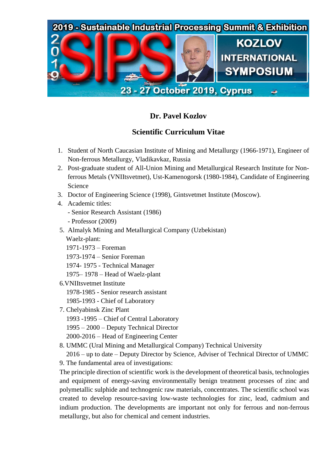

## **Dr. Pavel Kozlov**

## **Scientific Curriculum Vitae**

- 1. Student of North Caucasian Institute of Mining and Metallurgy (1966-1971), Engineer of Non-ferrous Metallurgy, Vladikavkaz, Russia
- 2. Post-graduate student of All-Union Mining and Metallurgical Research Institute for Nonferrous Metals (VNIItsvetmet), Ust-Kamenogorsk (1980-1984), Candidate of Engineering Science
- 3. Doctor of Engineering Science (1998), Gintsvetmet Institute (Moscow).
- 4. Academic titles: - Senior Research Assistant (1986)
	- Professor (2009)
- 5. Almalyk Mining and Metallurgical Company (Uzbekistan) Waelz-plant:
	- 1971-1973 Foreman
	- 1973-1974 Senior Foreman
	- 1974- 1975 Technical Manager
	- 1975– 1978 Head of Waelz-plant
- 6.VNIItsvetmet Institute
	- 1978-1985 Senior research assistant
	- 1985-1993 Chief of Laboratory
- 7. Chelyabinsk Zinc Plant
	- 1993 -1995 Chief of Central Laboratory
	- 1995 2000 Deputy Technical Director
	- 2000-2016 Head of Engineering Center
- 8. UMMC (Ural Mining and Metallurgical Company) Technical University

 2016 – up to date – Deputy Director by Science, Adviser of Technical Director of UMMC 9. The fundamental area of investigations:

The principle direction of scientific work is the development of theoretical basis, technologies and equipment of energy-saving environmentally benign treatment processes of zinc and polymetallic sulphide and technogenic raw materials, concentrates. The scientific school was created to develop resource-saving low-waste technologies for zinc, lead, cadmium and indium production. The developments are important not only for ferrous and non-ferrous metallurgy, but also for chemical and cement industries.